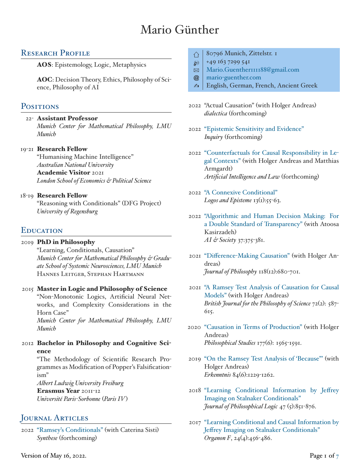# Mario Günther

# RESEARCH PROFILE

**AOS**: Epistemology, Logic, Metaphysics

**AOC**: Decision Theory, Ethics, Philosophy of Science, Philosophy of AI

## POSITIONS

22- **Assistant Professor**

*Munich Center for Mathematical Philosophy, LMU Munich*

#### 19-21 **Research Fellow**

"Humanising Machine Intelligence" *Australian National University* **Academic Visitor** 2021 *London School of Economics & Political Science*

#### 18-19 **Research Fellow**

"Reasoning with Conditionals" (DFG Project) *University of Regensburg*

# **EDUCATION**

#### 2019 **PhD in Philosophy**

"Learning, Conditionals, Causation" *Munich Center for Mathematical Philosophy & Graduate School of Systemic Neurosciences, LMU Munich* Hannes Leitgeb, Stephan Hartmann

#### 2015 **Master in Logic and Philosophy of Science**

"Non-Monotonic Logics, Artificial Neural Networks, and Complexity Considerations in the Horn Case"

*Munich Center for Mathematical Philosophy, LMU Munich*

2012 **Bachelor in Philosophy and Cognitive Science**

> "The Methodology of Scientific Research Programmes as Modification of Popper's Falsificationism"

*Albert Ludwig University Freiburg* **Erasmus Year** 2011-12 *Université Paris-Sorbonne* (*Paris IV*)

# JOURNAL ARTICLES

2022 ["Ramsey's Conditionals"](https://link.springer.com/article/10.1007/s11229-022-03586-1) (with Caterina Sisti) *Synthese* (forthcoming)

- ⇧ 80796 Munich, Zittelstr. 1
- $\circ$  +49 163 7299 541
- $\boxtimes$  [Mario.Guenther111188@gmail.com](mailto:Mario.Guenther111188@gmail.com)
- @ [mario-guenther.com](https://www.mario-guenther.com)
- b English, German, French, Ancient Greek
- 2022 "Actual Causation" (with Holger Andreas) *dialectica* (forthcoming)
- 2022 ["Epistemic Sensitivity and Evidence"](https://www.tandfonline.com/doi/full/10.1080/0020174X.2021.1936158) *Inquiry* (forthcoming)
- 2022 ["Counterfactuals for Causal Responsibility in Le](https://link.springer.com/article/10.1007/s10506-021-09307-2)[gal Contexts"](https://link.springer.com/article/10.1007/s10506-021-09307-2) (with Holger Andreas and Matthias Armgardt) *Artificial Intelligence and Law* (forthcoming)
- 2022 ["A Connexive Conditional"](https://doi.org/10.5840/logos-episteme20221313) *Logos and Episteme* 13(1):55-63.
- 2022 ["Algorithmic and Human Decision Making: For](https://link.springer.com/article/10.1007/s00146-021-01200-5) [a Double Standard of Transparency"](https://link.springer.com/article/10.1007/s00146-021-01200-5) (with Atoosa Kasirzadeh) *AI & Society* 37:375-381.
- 2021 ["Difference-Making Causation"](https://doi.org/10.5840/jphil20211181243) (with Holger Andreas) *Journal of Philosophy* 118(12):680-701.
- 2021 ["A Ramsey Test Analysis of Causation for Causal](https://www.journals.uchicago.edu/doi/pdf/10.1093/bjps/axy074) [Models"](https://www.journals.uchicago.edu/doi/pdf/10.1093/bjps/axy074) (with Holger Andreas) *British Journal for the Philosophy of Science* 72(2): 587- 615.
- 2020 ["Causation in Terms of Production"](https://doi.org/10.1007/s11098-019-01275-3) (with Holger Andreas) *Philosophical Studies* 177(6): 1565-1591.
- 2019 ["On the Ramsey Test Analysis of 'Because"'](https://link.springer.com/article/10.1007/s10670-018-0006-8) (with Holger Andreas) *Erkenntnis* 84(6):1229-1262.
- 2018 ["Learning Conditional Information by Jeffrey](https://link.springer.com/article/10.1007/s10992-017-9452-z?wt_mc=Internal.Event.1.SEM.ArticleAuthorOnlineFirst) [Imaging on Stalnaker Conditionals"](https://link.springer.com/article/10.1007/s10992-017-9452-z?wt_mc=Internal.Event.1.SEM.ArticleAuthorOnlineFirst) *Journal of Philosophical Logic* 47 (5):851-876.
- 2017 ["Learning Conditional and Causal Information by](http://www.klemens.sav.sk/fiusav/doc/organon/2017/4/456-486.pdf) [Jeffrey Imaging on Stalnaker Conditionals"](http://www.klemens.sav.sk/fiusav/doc/organon/2017/4/456-486.pdf) *Organon F*, 24(4):456-486.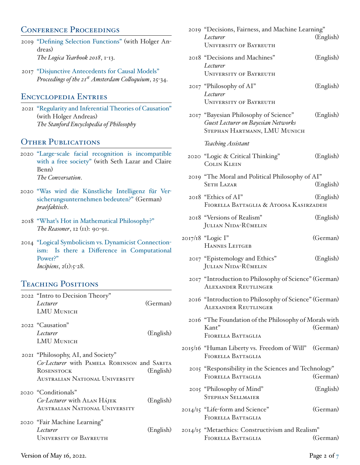## CONFERENCE PROCEEDINGS

- 2019 ["Defining Selection Functions"](http://logika.flu.cas.cz/images/publikace/Yearbook/contents/content_logica_yearbook_2018.pdf) (with Holger Andreas) *The Logica Yearbook 2018*, 1-13.
- 2017 ["Disjunctive Antecedents for Causal Models"](http://semanticsarchive.net/Archive/jZiM2FhZ/AC2017-Proceedings.pdf) *Proceedings of the 21st Amsterdam Colloquium*, 25-34.

# Encyclopedia Entries

2021 ["Regularity and Inferential Theories of Causation"](https://plato.stanford.edu/entries/causation-regularity/) (with Holger Andreas) *The Stanford Encyclopedia of Philosophy*

# OTHER PUBLICATIONS

- 2020 ["Large-scale facial recognition is incompatible](https://theconversation.com/large-scale-facial-recognition-is-incompatible-with-a-free-society-126282) [with a free society"](https://theconversation.com/large-scale-facial-recognition-is-incompatible-with-a-free-society-126282) (with Seth Lazar and Claire Benn) *The Conversation*.
- 2020 ["Was wird die Künstliche Intelligenz für Ver](https://www.praefaktisch.de/ki/was-wird-die-kuenstliche-intelligenz-fuer-versicherungsunternehmen-bedeuten/)[sicherungsunternehmen bedeuten?"](https://www.praefaktisch.de/ki/was-wird-die-kuenstliche-intelligenz-fuer-versicherungsunternehmen-bedeuten/) (German) *prae|faktisch*.
- 2018 ["What's Hot in Mathematical Philosophy?"](https://blogs.kent.ac.uk/thereasoner/files/2018/10/TheReasoner-1211.pdf) *The Reasoner*, 12 (11): 90-91.
- 2014 ["Logical Symbolicism vs. Dynamicist Connection](https://www.incipiens.de/article/view/1192/578)[ism: Is there a Difference in Computational](https://www.incipiens.de/article/view/1192/578) [Power?"](https://www.incipiens.de/article/view/1192/578) *Incipiens*, 2(1):5-28.

# TEACHING POSITIONS

| 2022 "Intro to Decision Theory"<br>Lecturer<br><b>LMU MUNICH</b>                                                                         | (German)  |
|------------------------------------------------------------------------------------------------------------------------------------------|-----------|
| 2022 "Causation"<br>Lecturer<br>LMU MUNICH                                                                                               | (English) |
| 2021 "Philosophy, AI, and Society"<br>Co-Lecturer with PAMELA ROBINSON and SARITA<br><b>ROSENSTOCK</b><br>AUSTRALIAN NATIONAL UNIVERSITY | (English) |
| 2020 "Conditionals"<br>Co-Lecturer with ALAN HÁJEK<br>AUSTRALIAN NATIONAL UNIVERSITY                                                     | (English) |
| 2020 "Fair Machine Learning"<br>Lecturer<br><b>UNIVERSITY OF BAYREUTH</b>                                                                | (English) |

| 2019 "Decisions, Fairness, and Machine Learning"                                                                    |           |  |
|---------------------------------------------------------------------------------------------------------------------|-----------|--|
| Lecturer<br><b>UNIVERSITY OF BAYREUTH</b>                                                                           | (English) |  |
| 2018 "Decisions and Machines"<br>Lecturer<br><b>UNIVERSITY OF BAYREUTH</b>                                          | (English) |  |
| 2017 "Philosophy of AI"<br>Lecturer<br><b>UNIVERSITY OF BAYREUTH</b>                                                | (English) |  |
| 2017 "Bayesian Philosophy of Science"<br><b>Guest Lecturer on Bayesian Networks</b><br>STEPHAN HARTMANN, LMU MUNICH | (English) |  |
| <b>Teaching Assistant</b>                                                                                           |           |  |
| 2020 "Logic & Critical Thinking"<br><b>COLIN KLEIN</b>                                                              | (English) |  |
| 2019 "The Moral and Political Philosophy of AI"<br><b>SETH LAZAR</b>                                                | (English) |  |
| 2018 "Ethics of AI"<br>FIORELLA BATTAGLIA & ATOOSA KASIRZADEH                                                       | (English) |  |
| 2018 "Versions of Realism"<br><b>JULIAN NIDA-RÜMELIN</b>                                                            | (English) |  |
| 2017/18 "Logic I"<br><b>HANNES LEITGEB</b>                                                                          | (German)  |  |
| 2017 "Epistemology and Ethics"<br><b>JULIAN NIDA-RÜMELIN</b>                                                        | (English) |  |
| 2017 "Introduction to Philosophy of Science" (German)<br><b>ALEXANDER REUTLINGER</b>                                |           |  |
| 2016 "Introduction to Philosophy of Science" (German)<br><b>ALEXANDER REUTLINGER</b>                                |           |  |
| 2016 "The Foundation of the Philosophy of Morals with<br>$K$ ant"<br>FIORELLA BATTAGLIA                             | (German)  |  |
| 2015/16 "Human Liberty vs. Freedom of Will" (German)<br>FIORELLA BATTAGLIA                                          |           |  |
| 2015 "Responsibility in the Sciences and Technology"<br>FIORELLA BATTAGLIA<br>(German)                              |           |  |
| 2015 "Philosophy of Mind"<br><b>STEPHAN SELLMAIER</b>                                                               | (English) |  |
| 2014/15 "Life-form and Science"<br>FIORELLA BATTAGLIA                                                               | (German)  |  |
| 2014/15 "Metaethics: Constructivism and Realism"<br>FIORELLA BATTAGLIA                                              | (German)  |  |
|                                                                                                                     |           |  |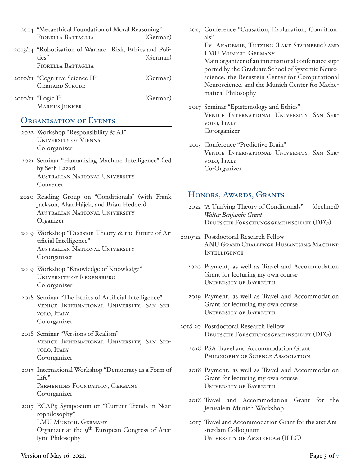| 2014 "Metaethical Foundation of Moral Reasoning"         |          |  |
|----------------------------------------------------------|----------|--|
| FIORELLA BATTAGLIA                                       | (German) |  |
| 2013/14 "Robotisation of Warfare. Risk, Ethics and Poli- |          |  |
| tics"                                                    | (German) |  |
| FIORELLA BATTAGLIA                                       |          |  |
| 2010/11 "Cognitive Science II"                           | (German) |  |
| <b>GERHARD STRUBE</b>                                    |          |  |
| 2010/11 "Logic I"                                        | (German) |  |
| MARKUS JUNKER                                            |          |  |

### ORGANISATION OF EVENTS

- 2022 Workshop "Responsibility & AI" University of Vienna Co-organizer
- 2021 Seminar "Humanising Machine Intelligence" (led by Seth Lazar) Australian National University Convener
- 2020 Reading Group on "Conditionals" (with Frank Jackson, Alan Hájek, and Brian Hedden) Australian National University Organizer
- 2019 Workshop "Decision Theory & the Future of Artificial Intelligence" Australian National University Co-organizer
- 2019 Workshop "Knowledge of Knowledge" University of Regensburg Co-organizer
- 2018 Seminar "The Ethics of Artificial Intelligence" Venice International University, San Servolo, Italy Co-organizer
- 2018 Seminar "Versions of Realism" Venice International University, San Servolo, Italy Co-organizer
- 2017 International Workshop "Democracy as a Form of Life" PARMENIDES FOUNDATION, GERMANY Co-organizer
- 2017 ECAP9 Symposium on "Current Trends in Neurophilosophy" LMU Munich, Germany Organizer at the 9<sup>th</sup> European Congress of Analytic Philosophy

2017 Conference "Causation, Explanation, Conditionals"

> Ev. Akademie, Tutzing (Lake Starnberg) and LMU Munich, Germany

> Main organizer of an international conference supported by the Graduate School of Systemic Neuroscience, the Bernstein Center for Computational Neuroscience, and the Munich Center for Mathematical Philosophy

- 2017 Seminar "Epistemology and Ethics" Venice International University, San Servolo, Italy Co-organizer
- 2015 Conference "Predictive Brain" Venice International University, San Servolo, Italy Co-Organizer

### Honors, Awards, Grants

- 2022 "A Unifying Theory of Conditionals" (declined) *Walter Benjamin Grant* DEUTSCHE FORSCHUNGSGEMEINSCHAFT (DFG)
- 2019-22 Postdoctoral Research Fellow ANU Grand Challenge Humanising Machine **INTELLIGENCE** 
	- 2020 Payment, as well as Travel and Accommodation Grant for lecturing my own course University of Bayreuth
	- 2019 Payment, as well as Travel and Accommodation Grant for lecturing my own course University of Bayreuth
- 2018-20 Postdoctoral Research Fellow DEUTSCHE FORSCHUNGSGEMEINSCHAFT (DFG)
	- 2018 PSA Travel and Accommodation Grant PHILOSOPHY OF SCIENCE ASSOCIATION
	- 2018 Payment, as well as Travel and Accommodation Grant for lecturing my own course University of Bayreuth
	- 2018 Travel and Accommodation Grant for the Jerusalem-Munich Workshop
	- 2017 Travel and Accommodation Grant for the 21st Amsterdam Colloquium University of Amsterdam (ILLC)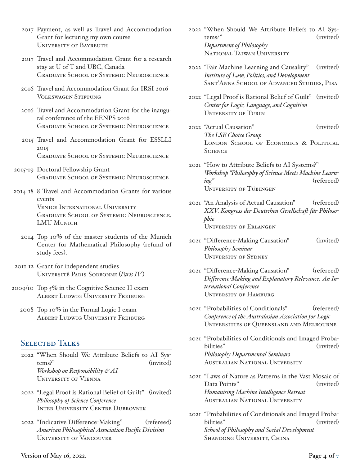- 2017 Payment, as well as Travel and Accommodation Grant for lecturing my own course University of Bayreuth
- 2017 Travel and Accommodation Grant for a research stay at U of T and UBC, Canada Graduate School of Systemic Neuroscience
- 2016 Travel and Accommodation Grant for IRSI 2016 Volkswagen Stiftung
- 2016 Travel and Accommodation Grant for the inaugural conference of the EENPS 2016 Graduate School of Systemic Neuroscience
- 2015 Travel and Accommodation Grant for ESSLLI 2015 Graduate School of Systemic Neuroscience
- 2015-19 Doctoral Fellowship Grant Graduate School of Systemic Neuroscience
- 2014-18 8 Travel and Accommodation Grants for various events Venice International University Graduate School of Systemic Neuroscience, LMU MUNICH
	- 2014 Top 10% of the master students of the Munich Center for Mathematical Philosophy (refund of study fees).
- 2011-12 Grant for independent studies Université Paris-Sorbonne (*Paris IV*)
- 2009/10 Top 5% in the Cognitive Science II exam Albert Ludwig University Freiburg
	- 2008 Top 10% in the Formal Logic I exam Albert Ludwig University Freiburg

### Selected Talks

- 2022 "When Should We Attribute Beliefs to AI Systems?" (invited) *Workshop on Responsibility & AI* University of Vienna
- 2022 "Legal Proof is Rational Belief of Guilt" (invited) *Philosophy of Science Conference* Inter-University Centre Dubrovnik
- 2022 "Indicative Difference-Making" (refereed) *American Philosophical Association Pacific Division* University of Vancouver
- 2022 "When Should We Attribute Beliefs to AI Systems?" (invited) *Department of Philosophy* National Taiwan University
- 2022 "Fair Machine Learning and Causality" (invited) *Institute of Law, Politics, and Development* Sant'Anna School of Advanced Studies, Pisa
- 2022 "Legal Proof is Rational Belief of Guilt" (invited) *Center for Logic, Language, and Cognition* University of Turin
- 2022 "Actual Causation" (invited) *The LSE Choice Group* LONDON SCHOOL OF ECONOMICS & POLITICAL **SCIENCE**
- 2021 "How to Attribute Beliefs to AI Systems?" *Workshop "Philosophy of Science Meets Machine Learning"* (refereed) University of Tübingen
- 2021 "An Analysis of Actual Causation" (refereed) *XXV. Kongress der Deutschen Gesellschaft für Philosophie* University of Erlangen
- 2021 "Difference-Making Causation" (invited) *Philosophy Seminar* University of Sydney
- 2021 "Difference-Making Causation" (refereed) *Difference-Making and Explanatory Relevance: An International Conference* University of Hamburg
- 2021 "Probabilities of Conditionals" (refereed) *Conference of the Australasian Association for Logic* Universities of Queensland and Melbourne
- 2021 "Probabilities of Conditionals and Imaged Probabilities" (invited) *Philosophy Departmental Seminars* Australian National University
- 2021 "Laws of Nature as Patterns in the Vast Mosaic of Data Points" (invited) *Humanising Machine Intelligence Retreat* Australian National University
- 2021 "Probabilities of Conditionals and Imaged Probabilities" (invited) *School of Philosophy and Social Development* SHANDONG UNIVERSITY, CHINA

#### Version of May 16, 2022. Page 4 of  $7$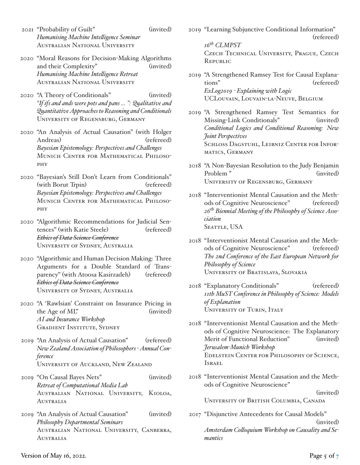- 2021 "Probability of Guilt" (invited) *Humanising Machine Intelligence Seminar* Australian National University
- 2020 "Moral Reasons for Decision-Making Algorithms and their Complexity" (invited) *Humanising Machine Intelligence Retreat* Australian National University
- 2020 "A Theory of Conditionals" (invited) *"If ifs and ands were pots and pans ... ": Qualitative and QuantitativeApproachesto Reasoning and Conditionals* University of Regensburg, Germany
- 2020 "An Analysis of Actual Causation" (with Holger Andreas) (refereed) *Bayesian Epistemology: Perspectives and Challenges* Munich Center for Mathematical Philosophy
- 2020 "Bayesian's Still Don't Learn from Conditionals" (with Borut Trpin) (refereed) *Bayesian Epistemology: Perspectives and Challenges* Munich Center for Mathematical Philosophy
- 2020 "Algorithmic Recommendations for Judicial Sentences" (with Katie Steele) (refereed) *Ethics of Data Science Conference* University of Sydney, Australia
- 2020 "Algorithmic and Human Decision Making: Three Arguments for a Double Standard of Transparency" (with Atoosa Kasirzadeh) (refereed) *Ethics of Data Science Conference* University of Sydney, Australia
- 2020 "A 'Rawlsian' Constraint on Insurance Pricing in the Age of ML" (invited) *AI and Insurance Workshop* Gradient Institute, Sydney
- 2019 "An Analysis of Actual Causation" (refereed) *New Zealand Association of Philosophers - Annual Conference* University of Auckland, New Zealand
- 2019 "On Causal Bayes Nets" (invited) *Retreat of Computational Media Lab* Australian National University, Kioloa, Australia
- 2019 "An Analysis of Actual Causation" (invited) *Philosophy Departmental Seminars* Australian National University, Canberra, **AUSTRALIA**

2019 "Learning Subjunctive Conditional Information" (refereed) *16th CLMPST*

Czech Technical University, Prague, Czech Republic

- 2019 "A Strengthened Ramsey Test for Causal Explanations" (refereed) *ExLog2019 - Explaining with Logic* UCLouvain, Louvain-la-Neuve, Belgium
- 2019 "A Strengthened Ramsey Test Semantics for Missing-Link Conditionals" (invited) *Conditional Logics and Conditional Reasoning: New Joint Perspectives* SCHLOSS DAGSTUHL, LEIBNIZ CENTER FOR INFORmatics, Germany
- 2018 "A Non-Bayesian Resolution to the Judy Benjamin Problem " (invited) University of Regensburg, Germany
- 2018 "Interventionist Mental Causation and the Methods of Cognitive Neuroscience" (refereed) *26th Biennial Meeting of the Philosophy of Science Association* SEATTLE, USA
- 2018 "Interventionist Mental Causation and the Methods of Cognitive Neuroscience" (refereed) *The 2nd Conference of the East European Network for Philosophy of Science* University of Bratislava, Slovakia
- 2018 "Explanatory Conditionals" (refereed) *11th MuST Conference in Philosophy of Science: Models of Explanation* UNIVERSITY OF TURIN, ITALY
- 2018 "Interventionist Mental Causation and the Methods of Cognitive Neuroscience: The Explanatory Merit of Functional Reduction" (invited) *Jerusalem-Munich Workshop* Edelstein Center for Philosophy of Science, Israel
- 2018 "Interventionist Mental Causation and the Methods of Cognitive Neuroscience"

(invited)

University of British Columbia, Canada

2017 "Disjunctive Antecedents for Causal Models" (invited) *Amsterdam Colloquium Workshop on Causality and Semantics*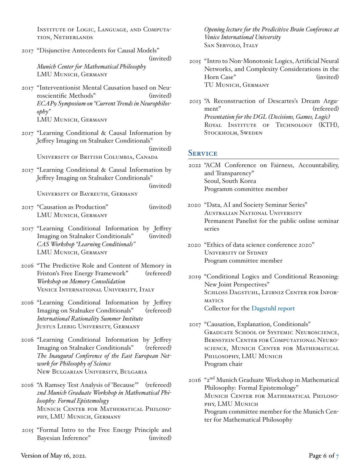Institute of Logic, Language, and Computation, Netherlands

- 2017 "Disjunctive Antecedents for Causal Models" (invited) *Munich Center for Mathematical Philosophy* LMU Munich, Germany
- 2017 "Interventionist Mental Causation based on Neuroscientific Methods" (invited) *ECAP9 Symposium on "Current Trends in Neurophilosophy"* LMU Munich, Germany
- 2017 "Learning Conditional & Causal Information by Jeffrey Imaging on Stalnaker Conditionals" (invited) University of British Columbia, Canada
- 2017 "Learning Conditional & Causal Information by Jeffrey Imaging on Stalnaker Conditionals" (invited) University of Bayreuth, Germany
- 2017 "Causation as Production" (invited) LMU MUNICH, GERMANY
- 2017 "Learning Conditional Information by Jeffrey Imaging on Stalnaker Conditionals" (invited) *CAS Workshop "Learning Conditionals"* LMU Munich, Germany
- 2016 "The Predictive Role and Content of Memory in Friston's Free Energy Framework" (refereed) *Workshop on Memory Consolidation* Venice International University, Italy
- 2016 "Learning Conditional Information by Jeffrey Imaging on Stalnaker Conditionals" (refereed) *International Rationality Summer Institute* Justus Liebig University, Germany
- 2016 "Learning Conditional Information by Jeffrey Imaging on Stalnaker Conditionals" (refereed) *The Inaugural Conference of the East European Network for Philosophy of Science* New Bulgarian University, Bulgaria
- 2016 "A Ramsey Test Analysis of 'Because'" (refereed) *2nd Munich Graduate Workshop in Mathematical Philosophy: Formal Epistemology* Munich Center for Mathematical Philosophy, LMU Munich, Germany
- 2015 "Formal Intro to the Free Energy Principle and Bayesian Inference" (invited)

*Opening lecture for the Predicitive Brain Conference at Venice International University* SAN SERVOLO, ITALY

- 2015 "Intro to Non-Monotonic Logics, Artificial Neural Networks, and Complexity Considerations in the Horn Case" (invited) TU Munich, Germany
- 2013 "A Reconstruction of Descartes's Dream Argument" (refereed) *Presentation for the DGL (Decisions, Games, Logic)* ROYAL INSTITUTE OF TECHNOLOGY (KTH), Stockholm, Sweden

#### **SERVICE**

- 2022 "ACM Conference on Fairness, Accountability, and Transparency" Seoul, South Korea Programm committee member
- 2020 "Data, AI and Society Seminar Series" Australian National University Permanent Panelist for the public online seminar series
- 2020 "Ethics of data science conference 2020" University of Sydney Program committee member
- 2019 "Conditional Logics and Conditional Reasoning: New Joint Perspectives" SCHLOSS DAGSTUHL, LEIBNIZ CENTER FOR INFOR-**MATICS** Collector for the [Dagstuhl report](http://drops.dagstuhl.de/opus/volltexte/2019/10569/pdf/dagrep_v009_i001_p047_19032.pdf)
- 2017 "Causation, Explanation, Conditionals" Graduate School of Systemic Neuroscience, Bernstein Center for Computational Neuroscience, Munich Center for Mathematical Philosophy, LMU Munich Program chair
- 2016 "2nd Munich Graduate Workshop in Mathematical Philosophy: Formal Epistemology" Munich Center for Mathematical Philosophy, LMU Munich Program committee member for the Munich Center for Mathematical Philosophy